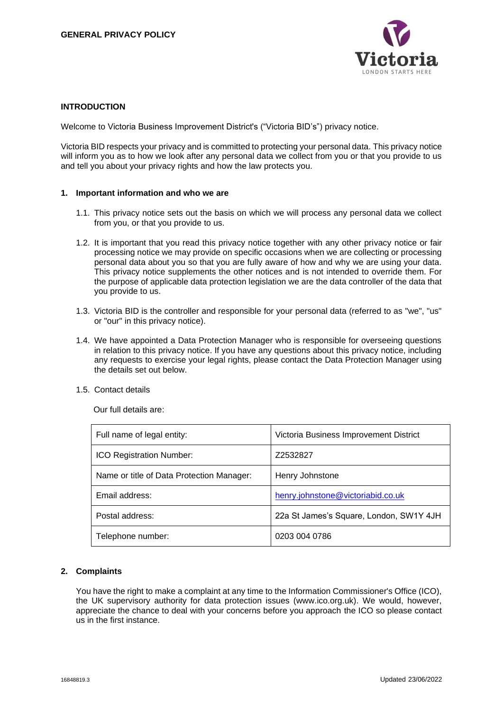

## **INTRODUCTION**

Welcome to Victoria Business Improvement District's ("Victoria BID's") privacy notice.

Victoria BID respects your privacy and is committed to protecting your personal data. This privacy notice will inform you as to how we look after any personal data we collect from you or that you provide to us and tell you about your privacy rights and how the law protects you.

### **1. Important information and who we are**

- 1.1. This privacy notice sets out the basis on which we will process any personal data we collect from you, or that you provide to us.
- 1.2. It is important that you read this privacy notice together with any other privacy notice or fair processing notice we may provide on specific occasions when we are collecting or processing personal data about you so that you are fully aware of how and why we are using your data. This privacy notice supplements the other notices and is not intended to override them. For the purpose of applicable data protection legislation we are the data controller of the data that you provide to us.
- 1.3. Victoria BID is the controller and responsible for your personal data (referred to as "we", "us" or "our" in this privacy notice).
- 1.4. We have appointed a Data Protection Manager who is responsible for overseeing questions in relation to this privacy notice. If you have any questions about this privacy notice, including any requests to exercise your legal rights, please contact the Data Protection Manager using the details set out below.
- 1.5. Contact details

Our full details are:

| Full name of legal entity:                | Victoria Business Improvement District  |
|-------------------------------------------|-----------------------------------------|
| <b>ICO Registration Number:</b>           | Z2532827                                |
| Name or title of Data Protection Manager: | Henry Johnstone                         |
| Email address:                            | henry.johnstone@victoriabid.co.uk       |
| Postal address:                           | 22a St James's Square, London, SW1Y 4JH |
| Telephone number:                         | 0203 004 0786                           |

# **2. Complaints**

You have the right to make a complaint at any time to the Information Commissioner's Office (ICO), the UK supervisory authority for data protection issues (www.ico.org.uk). We would, however, appreciate the chance to deal with your concerns before you approach the ICO so please contact us in the first instance.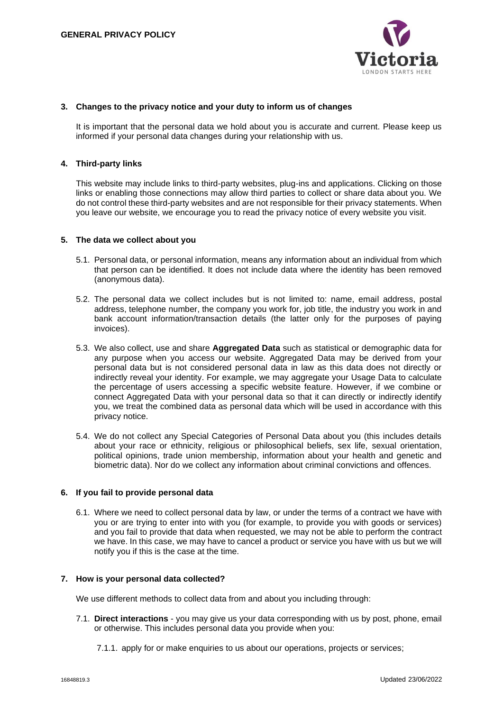

### **3. Changes to the privacy notice and your duty to inform us of changes**

It is important that the personal data we hold about you is accurate and current. Please keep us informed if your personal data changes during your relationship with us.

## **4. Third-party links**

This website may include links to third-party websites, plug-ins and applications. Clicking on those links or enabling those connections may allow third parties to collect or share data about you. We do not control these third-party websites and are not responsible for their privacy statements. When you leave our website, we encourage you to read the privacy notice of every website you visit.

### **5. The data we collect about you**

- 5.1. Personal data, or personal information, means any information about an individual from which that person can be identified. It does not include data where the identity has been removed (anonymous data).
- 5.2. The personal data we collect includes but is not limited to: name, email address, postal address, telephone number, the company you work for, job title, the industry you work in and bank account information/transaction details (the latter only for the purposes of paying invoices).
- 5.3. We also collect, use and share **Aggregated Data** such as statistical or demographic data for any purpose when you access our website. Aggregated Data may be derived from your personal data but is not considered personal data in law as this data does not directly or indirectly reveal your identity. For example, we may aggregate your Usage Data to calculate the percentage of users accessing a specific website feature. However, if we combine or connect Aggregated Data with your personal data so that it can directly or indirectly identify you, we treat the combined data as personal data which will be used in accordance with this privacy notice.
- 5.4. We do not collect any Special Categories of Personal Data about you (this includes details about your race or ethnicity, religious or philosophical beliefs, sex life, sexual orientation, political opinions, trade union membership, information about your health and genetic and biometric data). Nor do we collect any information about criminal convictions and offences.

### **6. If you fail to provide personal data**

6.1. Where we need to collect personal data by law, or under the terms of a contract we have with you or are trying to enter into with you (for example, to provide you with goods or services) and you fail to provide that data when requested, we may not be able to perform the contract we have. In this case, we may have to cancel a product or service you have with us but we will notify you if this is the case at the time.

### **7. How is your personal data collected?**

We use different methods to collect data from and about you including through:

- 7.1. **Direct interactions** you may give us your data corresponding with us by post, phone, email or otherwise. This includes personal data you provide when you:
	- 7.1.1. apply for or make enquiries to us about our operations, projects or services;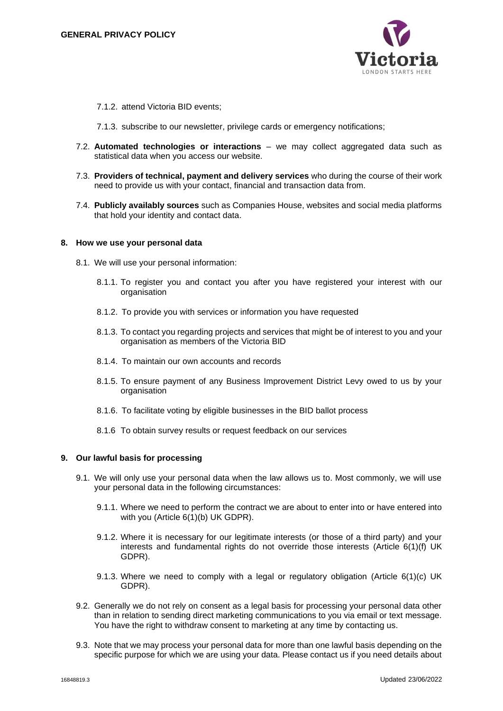

7.1.2. attend Victoria BID events;

7.1.3. subscribe to our newsletter, privilege cards or emergency notifications;

- 7.2. **Automated technologies or interactions** we may collect aggregated data such as statistical data when you access our website.
- 7.3. **Providers of technical, payment and delivery services** who during the course of their work need to provide us with your contact, financial and transaction data from.
- 7.4. **Publicly availably sources** such as Companies House, websites and social media platforms that hold your identity and contact data.

#### **8. How we use your personal data**

- 8.1. We will use your personal information:
	- 8.1.1. To register you and contact you after you have registered your interest with our organisation
	- 8.1.2. To provide you with services or information you have requested
	- 8.1.3. To contact you regarding projects and services that might be of interest to you and your organisation as members of the Victoria BID
	- 8.1.4. To maintain our own accounts and records
	- 8.1.5. To ensure payment of any Business Improvement District Levy owed to us by your organisation
	- 8.1.6. To facilitate voting by eligible businesses in the BID ballot process
	- 8.1.6 To obtain survey results or request feedback on our services

# **9. Our lawful basis for processing**

- 9.1. We will only use your personal data when the law allows us to. Most commonly, we will use your personal data in the following circumstances:
	- 9.1.1. Where we need to perform the contract we are about to enter into or have entered into with you (Article 6(1)(b) UK GDPR).
	- 9.1.2. Where it is necessary for our legitimate interests (or those of a third party) and your interests and fundamental rights do not override those interests (Article 6(1)(f) UK GDPR).
	- 9.1.3. Where we need to comply with a legal or regulatory obligation (Article 6(1)(c) UK GDPR).
- 9.2. Generally we do not rely on consent as a legal basis for processing your personal data other than in relation to sending direct marketing communications to you via email or text message. You have the right to withdraw consent to marketing at any time by contacting us.
- 9.3. Note that we may process your personal data for more than one lawful basis depending on the specific purpose for which we are using your data. Please contact us if you need details about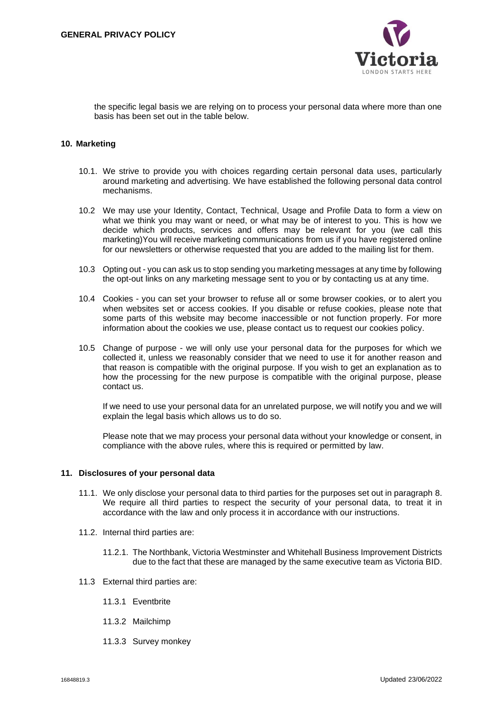

the specific legal basis we are relying on to process your personal data where more than one basis has been set out in the table below.

### **10. Marketing**

- 10.1. We strive to provide you with choices regarding certain personal data uses, particularly around marketing and advertising. We have established the following personal data control mechanisms.
- 10.2 We may use your Identity, Contact, Technical, Usage and Profile Data to form a view on what we think you may want or need, or what may be of interest to you. This is how we decide which products, services and offers may be relevant for you (we call this marketing)You will receive marketing communications from us if you have registered online for our newsletters or otherwise requested that you are added to the mailing list for them.
- 10.3 Opting out you can ask us to stop sending you marketing messages at any time by following the opt-out links on any marketing message sent to you or by contacting us at any time.
- 10.4 Cookies you can set your browser to refuse all or some browser cookies, or to alert you when websites set or access cookies. If you disable or refuse cookies, please note that some parts of this website may become inaccessible or not function properly. For more information about the cookies we use, please contact us to request our cookies policy.
- 10.5 Change of purpose we will only use your personal data for the purposes for which we collected it, unless we reasonably consider that we need to use it for another reason and that reason is compatible with the original purpose. If you wish to get an explanation as to how the processing for the new purpose is compatible with the original purpose, please contact us.

If we need to use your personal data for an unrelated purpose, we will notify you and we will explain the legal basis which allows us to do so.

Please note that we may process your personal data without your knowledge or consent, in compliance with the above rules, where this is required or permitted by law.

### **11. Disclosures of your personal data**

- 11.1. We only disclose your personal data to third parties for the purposes set out in paragraph 8. We require all third parties to respect the security of your personal data, to treat it in accordance with the law and only process it in accordance with our instructions.
- 11.2. Internal third parties are:
	- 11.2.1. The Northbank, Victoria Westminster and Whitehall Business Improvement Districts due to the fact that these are managed by the same executive team as Victoria BID.
- 11.3 External third parties are:
	- 11.3.1 Eventbrite
	- 11.3.2 Mailchimp
	- 11.3.3 Survey monkey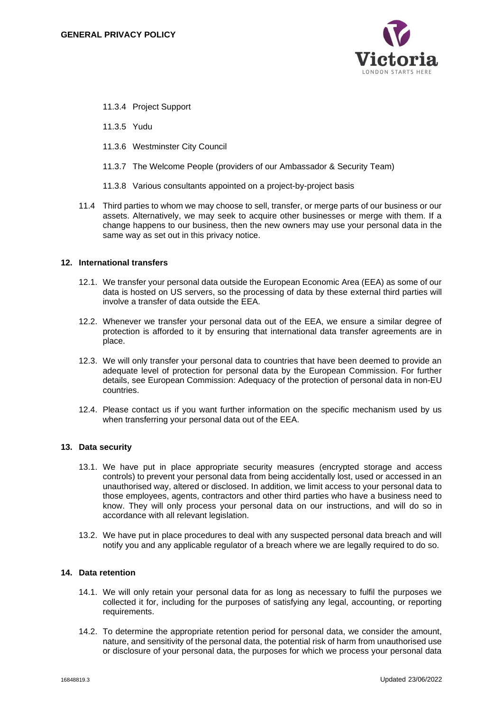

- 11.3.4 Project Support
- 11.3.5 Yudu
- 11.3.6 Westminster City Council
- 11.3.7 The Welcome People (providers of our Ambassador & Security Team)
- 11.3.8 Various consultants appointed on a project-by-project basis
- 11.4 Third parties to whom we may choose to sell, transfer, or merge parts of our business or our assets. Alternatively, we may seek to acquire other businesses or merge with them. If a change happens to our business, then the new owners may use your personal data in the same way as set out in this privacy notice.

### **12. International transfers**

- 12.1. We transfer your personal data outside the European Economic Area (EEA) as some of our data is hosted on US servers, so the processing of data by these external third parties will involve a transfer of data outside the EEA.
- 12.2. Whenever we transfer your personal data out of the EEA, we ensure a similar degree of protection is afforded to it by ensuring that international data transfer agreements are in place.
- 12.3. We will only transfer your personal data to countries that have been deemed to provide an adequate level of protection for personal data by the European Commission. For further details, see European Commission: Adequacy of the protection of personal data in non-EU countries.
- 12.4. Please contact us if you want further information on the specific mechanism used by us when transferring your personal data out of the EEA.

### **13. Data security**

- 13.1. We have put in place appropriate security measures (encrypted storage and access controls) to prevent your personal data from being accidentally lost, used or accessed in an unauthorised way, altered or disclosed. In addition, we limit access to your personal data to those employees, agents, contractors and other third parties who have a business need to know. They will only process your personal data on our instructions, and will do so in accordance with all relevant legislation.
- 13.2. We have put in place procedures to deal with any suspected personal data breach and will notify you and any applicable regulator of a breach where we are legally required to do so.

## **14. Data retention**

- 14.1. We will only retain your personal data for as long as necessary to fulfil the purposes we collected it for, including for the purposes of satisfying any legal, accounting, or reporting requirements.
- 14.2. To determine the appropriate retention period for personal data, we consider the amount, nature, and sensitivity of the personal data, the potential risk of harm from unauthorised use or disclosure of your personal data, the purposes for which we process your personal data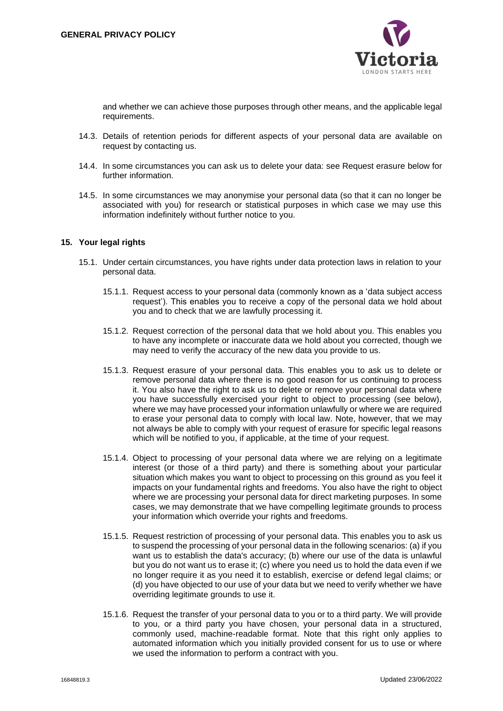

and whether we can achieve those purposes through other means, and the applicable legal requirements.

- 14.3. Details of retention periods for different aspects of your personal data are available on request by contacting us.
- 14.4. In some circumstances you can ask us to delete your data: see Request erasure below for further information.
- 14.5. In some circumstances we may anonymise your personal data (so that it can no longer be associated with you) for research or statistical purposes in which case we may use this information indefinitely without further notice to you.

### **15. Your legal rights**

- 15.1. Under certain circumstances, you have rights under data protection laws in relation to your personal data.
	- 15.1.1. Request access to your personal data (commonly known as a 'data subject access request'). This enables you to receive a copy of the personal data we hold about you and to check that we are lawfully processing it.
	- 15.1.2. Request correction of the personal data that we hold about you. This enables you to have any incomplete or inaccurate data we hold about you corrected, though we may need to verify the accuracy of the new data you provide to us.
	- 15.1.3. Request erasure of your personal data. This enables you to ask us to delete or remove personal data where there is no good reason for us continuing to process it. You also have the right to ask us to delete or remove your personal data where you have successfully exercised your right to object to processing (see below), where we may have processed your information unlawfully or where we are required to erase your personal data to comply with local law. Note, however, that we may not always be able to comply with your request of erasure for specific legal reasons which will be notified to you, if applicable, at the time of your request.
	- 15.1.4. Object to processing of your personal data where we are relying on a legitimate interest (or those of a third party) and there is something about your particular situation which makes you want to object to processing on this ground as you feel it impacts on your fundamental rights and freedoms. You also have the right to object where we are processing your personal data for direct marketing purposes. In some cases, we may demonstrate that we have compelling legitimate grounds to process your information which override your rights and freedoms.
	- 15.1.5. Request restriction of processing of your personal data. This enables you to ask us to suspend the processing of your personal data in the following scenarios: (a) if you want us to establish the data's accuracy; (b) where our use of the data is unlawful but you do not want us to erase it; (c) where you need us to hold the data even if we no longer require it as you need it to establish, exercise or defend legal claims; or (d) you have objected to our use of your data but we need to verify whether we have overriding legitimate grounds to use it.
	- 15.1.6. Request the transfer of your personal data to you or to a third party. We will provide to you, or a third party you have chosen, your personal data in a structured, commonly used, machine-readable format. Note that this right only applies to automated information which you initially provided consent for us to use or where we used the information to perform a contract with you.